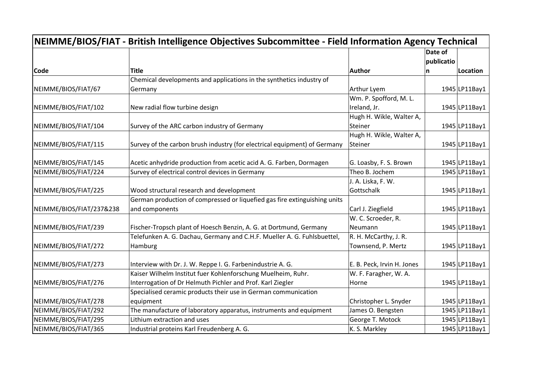| NEIMME/BIOS/FIAT - British Intelligence Objectives Subcommittee - Field Information Agency Technical |                                                                           |                            |                       |               |
|------------------------------------------------------------------------------------------------------|---------------------------------------------------------------------------|----------------------------|-----------------------|---------------|
|                                                                                                      |                                                                           |                            | Date of<br>publicatio |               |
| <b>Code</b>                                                                                          | <b>Title</b>                                                              | <b>Author</b>              | n                     | Location      |
|                                                                                                      | Chemical developments and applications in the synthetics industry of      |                            |                       |               |
| NEIMME/BIOS/FIAT/67                                                                                  | Germany                                                                   | Arthur Lyem                |                       | 1945 LP11Bay1 |
|                                                                                                      |                                                                           | Wm. P. Spofford, M. L.     |                       |               |
| NEIMME/BIOS/FIAT/102                                                                                 | New radial flow turbine design                                            | Ireland, Jr.               |                       | 1945 LP11Bay1 |
|                                                                                                      |                                                                           | Hugh H. Wikle, Walter A,   |                       |               |
| NEIMME/BIOS/FIAT/104                                                                                 | Survey of the ARC carbon industry of Germany                              | Steiner                    |                       | 1945 LP11Bay1 |
|                                                                                                      |                                                                           | Hugh H. Wikle, Walter A,   |                       |               |
| NEIMME/BIOS/FIAT/115                                                                                 | Survey of the carbon brush industry (for electrical equipment) of Germany | Steiner                    |                       | 1945 LP11Bay1 |
|                                                                                                      |                                                                           |                            |                       |               |
| NEIMME/BIOS/FIAT/145                                                                                 | Acetic anhydride production from acetic acid A. G. Farben, Dormagen       | G. Loasby, F. S. Brown     |                       | 1945 LP11Bay1 |
| NEIMME/BIOS/FIAT/224                                                                                 | Survey of electrical control devices in Germany                           | Theo B. Jochem             |                       | 1945 LP11Bay1 |
|                                                                                                      |                                                                           | J. A. Liska, F. W.         |                       |               |
| NEIMME/BIOS/FIAT/225                                                                                 | Wood structural research and development                                  | Gottschalk                 |                       | 1945 LP11Bay1 |
|                                                                                                      | German production of compressed or liquefied gas fire extinguishing units |                            |                       |               |
| NEIMME/BIOS/FIAT/237&238                                                                             | and components                                                            | Carl J. Ziegfield          |                       | 1945 LP11Bay1 |
|                                                                                                      |                                                                           | W. C. Scroeder, R.         |                       |               |
| NEIMME/BIOS/FIAT/239                                                                                 | Fischer-Tropsch plant of Hoesch Benzin, A. G. at Dortmund, Germany        | Neumann                    |                       | 1945 LP11Bay1 |
|                                                                                                      | Telefunken A. G. Dachau, Germany and C.H.F. Mueller A. G. Fuhlsbuettel,   | R. H. McCarthy, J. R.      |                       |               |
| NEIMME/BIOS/FIAT/272                                                                                 | Hamburg                                                                   | Townsend, P. Mertz         |                       | 1945 LP11Bay1 |
|                                                                                                      |                                                                           |                            |                       |               |
| NEIMME/BIOS/FIAT/273                                                                                 | Interview with Dr. J. W. Reppe I. G. Farbenindustrie A. G.                | E. B. Peck, Irvin H. Jones |                       | 1945 LP11Bay1 |
|                                                                                                      | Kaiser Wilhelm Institut fuer Kohlenforschung Muelheim, Ruhr.              | W. F. Faragher, W. A.      |                       |               |
| NEIMME/BIOS/FIAT/276                                                                                 | Interrogation of Dr Helmuth Pichler and Prof. Karl Ziegler                | Horne                      |                       | 1945 LP11Bay1 |
|                                                                                                      | Specialised ceramic products their use in German communication            |                            |                       |               |
| NEIMME/BIOS/FIAT/278                                                                                 | equipment                                                                 | Christopher L. Snyder      |                       | 1945 LP11Bay1 |
| NEIMME/BIOS/FIAT/292                                                                                 | The manufacture of laboratory apparatus, instruments and equipment        | James O. Bengsten          |                       | 1945 LP11Bay1 |
| NEIMME/BIOS/FIAT/295                                                                                 | Lithium extraction and uses                                               | George T. Motock           |                       | 1945 LP11Bay1 |
| NEIMME/BIOS/FIAT/365                                                                                 | Industrial proteins Karl Freudenberg A. G.                                | K. S. Markley              |                       | 1945 LP11Bay1 |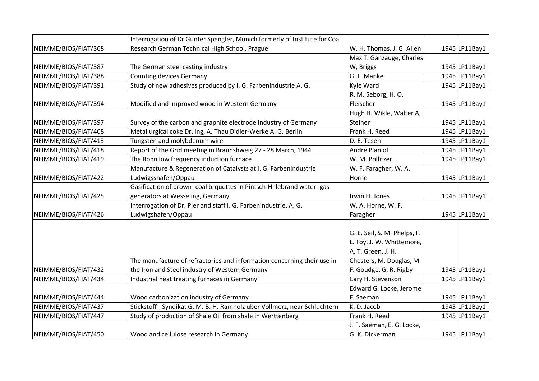|                      | Interrogation of Dr Gunter Spengler, Munich formerly of Institute for Coal |                              |               |
|----------------------|----------------------------------------------------------------------------|------------------------------|---------------|
| NEIMME/BIOS/FIAT/368 | Research German Technical High School, Prague                              | W. H. Thomas, J. G. Allen    | 1945 LP11Bay1 |
|                      |                                                                            | Max T. Ganzauge, Charles     |               |
| NEIMME/BIOS/FIAT/387 | The German steel casting industry                                          | W, Briggs                    | 1945 LP11Bay1 |
| NEIMME/BIOS/FIAT/388 | <b>Counting devices Germany</b>                                            | G. L. Manke                  | 1945 LP11Bay1 |
| NEIMME/BIOS/FIAT/391 | Study of new adhesives produced by I. G. Farbenindustrie A. G.             | Kyle Ward                    | 1945 LP11Bay1 |
|                      |                                                                            | R. M. Seborg, H. O.          |               |
| NEIMME/BIOS/FIAT/394 | Modified and improved wood in Western Germany                              | Fleischer                    | 1945 LP11Bay1 |
|                      |                                                                            | Hugh H. Wikle, Walter A,     |               |
| NEIMME/BIOS/FIAT/397 | Survey of the carbon and graphite electrode industry of Germany            | Steiner                      | 1945 LP11Bay1 |
| NEIMME/BIOS/FIAT/408 | Metallurgical coke Dr, Ing, A. Thau Didier-Werke A. G. Berlin              | Frank H. Reed                | 1945 LP11Bay1 |
| NEIMME/BIOS/FIAT/413 | Tungsten and molybdenum wire                                               | D. E. Tesen                  | 1945 LP11Bay1 |
| NEIMME/BIOS/FIAT/418 | Report of the Grid meeting in Braunshweig 27 - 28 March, 1944              | <b>Andre Planiol</b>         | 1945 LP11Bay1 |
| NEIMME/BIOS/FIAT/419 | The Rohn low frequency induction furnace                                   | W. M. Pollitzer              | 1945 LP11Bay1 |
|                      | Manufacture & Regeneration of Catalysts at I. G. Farbenindustrie           | W. F. Faragher, W. A.        |               |
| NEIMME/BIOS/FIAT/422 | Ludwigsshafen/Oppau                                                        | Horne                        | 1945 LP11Bay1 |
|                      | Gasification of brown- coal brquettes in Pintsch-Hillebrand water-gas      |                              |               |
| NEIMME/BIOS/FIAT/425 | generators at Wesseling, Germany                                           | Irwin H. Jones               | 1945 LP11Bay1 |
|                      | Interrogation of Dr. Pier and staff I. G. Farbenindustrie, A. G.           | W. A. Horne, W. F.           |               |
| NEIMME/BIOS/FIAT/426 | Ludwigshafen/Oppau                                                         | Faragher                     | 1945 LP11Bay1 |
|                      |                                                                            | G. E. Seil, S. M. Phelps, F. |               |
|                      |                                                                            | L. Toy, J. W. Whittemore,    |               |
|                      |                                                                            | A. T. Green, J. H.           |               |
|                      | The manufacture of refractories and information concerning their use in    | Chesters, M. Douglas, M.     |               |
| NEIMME/BIOS/FIAT/432 | the Iron and Steel industry of Western Germany                             | F. Goudge, G. R. Rigby       | 1945 LP11Bay1 |
| NEIMME/BIOS/FIAT/434 | Industrial heat treating furnaces in Germany                               | Cary H. Stevenson            | 1945 LP11Bay1 |
|                      |                                                                            | Edward G. Locke, Jerome      |               |
| NEIMME/BIOS/FIAT/444 | Wood carbonization industry of Germany                                     | F. Saeman                    | 1945 LP11Bay1 |
| NEIMME/BIOS/FIAT/437 | Stickstoff - Syndikat G. M. B. H. Ramholz uber Vollmerz, near Schluchtern  | K. D. Jacob                  | 1945 LP11Bay1 |
| NEIMME/BIOS/FIAT/447 | Study of production of Shale Oil from shale in Werttenberg                 | Frank H. Reed                | 1945 LP11Bay1 |
|                      |                                                                            | J. F. Saeman, E. G. Locke,   |               |
| NEIMME/BIOS/FIAT/450 | Wood and cellulose research in Germany                                     | G. K. Dickerman              | 1945 LP11Bay1 |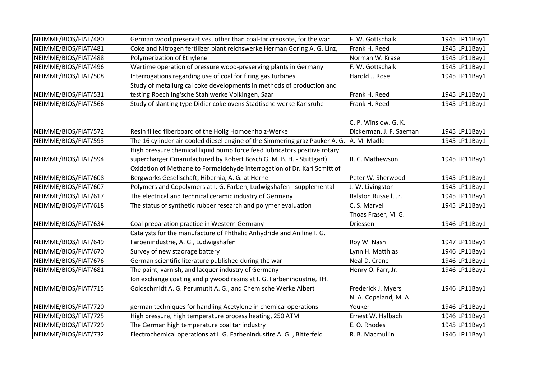| NEIMME/BIOS/FIAT/480 | German wood preservatives, other than coal-tar creosote, for the war        | F. W. Gottschalk        | 1945 LP11Bay1 |
|----------------------|-----------------------------------------------------------------------------|-------------------------|---------------|
| NEIMME/BIOS/FIAT/481 | Coke and Nitrogen fertilizer plant reichswerke Herman Goring A. G. Linz,    | Frank H. Reed           | 1945 LP11Bay1 |
| NEIMME/BIOS/FIAT/488 | Polymerization of Ethylene                                                  | Norman W. Krase         | 1945 LP11Bay1 |
| NEIMME/BIOS/FIAT/496 | Wartime operation of pressure wood-preserving plants in Germany             | F. W. Gottschalk        | 1945 LP11Bay1 |
| NEIMME/BIOS/FIAT/508 | Interrogations regarding use of coal for firing gas turbines                | Harold J. Rose          | 1945 LP11Bay1 |
|                      | Study of metallurgical coke developments in methods of production and       |                         |               |
| NEIMME/BIOS/FIAT/531 | testing Roechling'sche Stahlwerke Volkingen, Saar                           | Frank H. Reed           | 1945 LP11Bay1 |
| NEIMME/BIOS/FIAT/566 | Study of slanting type Didier coke ovens Stadtische werke Karlsruhe         | Frank H. Reed           | 1945 LP11Bay1 |
|                      |                                                                             | C. P. Winslow. G. K.    |               |
| NEIMME/BIOS/FIAT/572 | Resin filled fiberboard of the Holig Homoenholz-Werke                       | Dickerman, J. F. Saeman | 1945 LP11Bay1 |
| NEIMME/BIOS/FIAT/593 | The 16 cylinder air-cooled diesel engine of the Simmering graz Pauker A. G. | A. M. Madle             | 1945 LP11Bay1 |
|                      | High pressure chemical liquid pump force feed lubricators positive rotary   |                         |               |
| NEIMME/BIOS/FIAT/594 | supercharger Cmanufactured by Robert Bosch G. M. B. H. - Stuttgart)         | R. C. Mathewson         | 1945 LP11Bay1 |
|                      | Oxidation of Methane to Formaldehyde interrogation of Dr. Karl Scmitt of    |                         |               |
| NEIMME/BIOS/FIAT/608 | Bergworks Gesellschaft, Hibernia, A. G. at Herne                            | Peter W. Sherwood       | 1945 LP11Bay1 |
| NEIMME/BIOS/FIAT/607 | Polymers and Copolymers at I. G. Farben, Ludwigshafen - supplemental        | J. W. Livingston        | 1945 LP11Bay1 |
| NEIMME/BIOS/FIAT/617 | The electrical and technical ceramic industry of Germany                    | Ralston Russell, Jr.    | 1945 LP11Bay1 |
| NEIMME/BIOS/FIAT/618 | The status of synthetic rubber research and polymer evaluation              | C. S. Marvel            | 1945 LP11Bay1 |
|                      |                                                                             | Thoas Fraser, M. G.     |               |
| NEIMME/BIOS/FIAT/634 | Coal preparation practice in Western Germany                                | Driessen                | 1946 LP11Bay1 |
|                      | Catalysts for the manufacture of Phthalic Anhydride and Aniline I. G.       |                         |               |
| NEIMME/BIOS/FIAT/649 | Farbenindustrie, A. G., Ludwigshafen                                        | Roy W. Nash             | 1947 LP11Bay1 |
| NEIMME/BIOS/FIAT/670 | Survey of new staorage battery                                              | Lynn H. Matthias        | 1946 LP11Bay1 |
| NEIMME/BIOS/FIAT/676 | German scientific literature published during the war                       | Neal D. Crane           | 1946 LP11Bay1 |
| NEIMME/BIOS/FIAT/681 | The paint, varnish, and lacquer industry of Germany                         | Henry O. Farr, Jr.      | 1946 LP11Bay1 |
|                      | Ion exchange coating and plywood resins at I. G. Farbenindustrie, TH.       |                         |               |
| NEIMME/BIOS/FIAT/715 | Goldschmidt A. G. Perumutit A. G., and Chemische Werke Albert               | Frederick J. Myers      | 1946 LP11Bay1 |
|                      |                                                                             | N. A. Copeland, M. A.   |               |
| NEIMME/BIOS/FIAT/720 | german techniques for handling Acetylene in chemical operations             | Youker                  | 1946 LP11Bay1 |
| NEIMME/BIOS/FIAT/725 | High pressure, high temperature process heating, 250 ATM                    | Ernest W. Halbach       | 1946 LP11Bay1 |
| NEIMME/BIOS/FIAT/729 | The German high temperature coal tar industry                               | E. O. Rhodes            | 1945 LP11Bay1 |
| NEIMME/BIOS/FIAT/732 | Electrochemical operations at I. G. Farbenindustire A. G., Bitterfeld       | R. B. Macmullin         | 1946 LP11Bay1 |